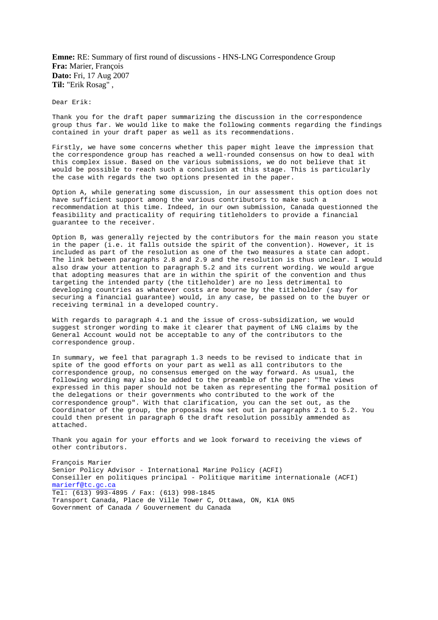**Emne:** RE: Summary of first round of discussions - HNS-LNG Correspondence Group **Fra:** Marier, François **Dato:** Fri, 17 Aug 2007 **Til:** "Erik Rosag" ,

Dear Erik:

Thank you for the draft paper summarizing the discussion in the correspondence group thus far. We would like to make the following comments regarding the findings contained in your draft paper as well as its recommendations.

Firstly, we have some concerns whether this paper might leave the impression that the correspondence group has reached a well-rounded consensus on how to deal with this complex issue. Based on the various submissions, we do not believe that it would be possible to reach such a conclusion at this stage. This is particularly the case with regards the two options presented in the paper.

Option A, while generating some discussion, in our assessment this option does not have sufficient support among the various contributors to make such a recommendation at this time. Indeed, in our own submission, Canada questionned the feasibility and practicality of requiring titleholders to provide a financial guarantee to the receiver.

Option B, was generally rejected by the contributors for the main reason you state in the paper (i.e. it falls outside the spirit of the convention). However, it is included as part of the resolution as one of the two measures a state can adopt. The link between paragraphs 2.8 and 2.9 and the resolution is thus unclear. I would also draw your attention to paragraph 5.2 and its current wording. We would argue that adopting measures that are in within the spirit of the convention and thus targeting the intended party (the titleholder) are no less detrimental to developing countries as whatever costs are bourne by the titleholder (say for securing a financial guarantee) would, in any case, be passed on to the buyer or receiving terminal in a developed country.

With regards to paragraph 4.1 and the issue of cross-subsidization, we would suggest stronger wording to make it clearer that payment of LNG claims by the General Account would not be acceptable to any of the contributors to the correspondence group.

In summary, we feel that paragraph 1.3 needs to be revised to indicate that in spite of the good efforts on your part as well as all contributors to the correspondence group, no consensus emerged on the way forward. As usual, the following wording may also be added to the preamble of the paper: "The views expressed in this paper should not be taken as representing the formal position of the delegations or their governments who contributed to the work of the correspondence group". With that clarification, you can the set out, as the Coordinator of the group, the proposals now set out in paragraphs 2.1 to 5.2. You could then present in paragraph 6 the draft resolution possibly ammended as attached.

Thank you again for your efforts and we look forward to receiving the views of other contributors.

François Marier Senior Policy Advisor - International Marine Policy (ACFI) Conseiller en politiques principal - Politique maritime internationale (ACFI) marierf@tc.gc.ca Tel: (613) 993-4895 / Fax: (613) 998-1845 Transport Canada, Place de Ville Tower C, Ottawa, ON, K1A 0N5 Government of Canada / Gouvernement du Canada